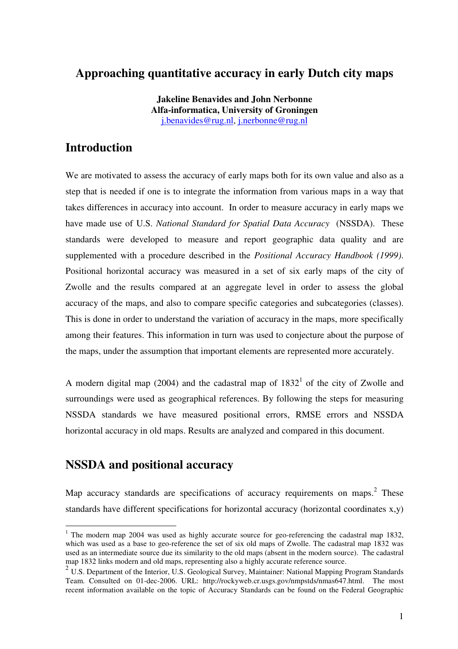# **Approaching quantitative accuracy in early Dutch city maps**

**Jakeline Benavides and John Nerbonne Alfa-informatica, University of Groningen** j.benavides@rug.nl, j.nerbonne@rug.nl

# **Introduction**

We are motivated to assess the accuracy of early maps both for its own value and also as a step that is needed if one is to integrate the information from various maps in a way that takes differences in accuracy into account. In order to measure accuracy in early maps we have made use of U.S. *National Standard for Spatial Data Accuracy* (NSSDA). These standards were developed to measure and report geographic data quality and are supplemented with a procedure described in the *Positional Accuracy Handbook (1999)*. Positional horizontal accuracy was measured in a set of six early maps of the city of Zwolle and the results compared at an aggregate level in order to assess the global accuracy of the maps, and also to compare specific categories and subcategories (classes). This is done in order to understand the variation of accuracy in the maps, more specifically among their features. This information in turn was used to conjecture about the purpose of the maps, under the assumption that important elements are represented more accurately.

A modern digital map (2004) and the cadastral map of  $1832<sup>1</sup>$  of the city of Zwolle and surroundings were used as geographical references. By following the steps for measuring NSSDA standards we have measured positional errors, RMSE errors and NSSDA horizontal accuracy in old maps. Results are analyzed and compared in this document.

### **NSSDA and positional accuracy**

Map accuracy standards are specifications of accuracy requirements on maps.<sup>2</sup> These standards have different specifications for horizontal accuracy (horizontal coordinates x,y)

 $1$  The modern map 2004 was used as highly accurate source for geo-referencing the cadastral map 1832, which was used as a base to geo-reference the set of six old maps of Zwolle. The cadastral map 1832 was used as an intermediate source due its similarity to the old maps (absent in the modern source). The cadastral map 1832 links modern and old maps, representing also a highly accurate reference source.

<sup>&</sup>lt;sup>2</sup> U.S. Department of the Interior, U.S. Geological Survey, Maintainer: National Mapping Program Standards Team. Consulted on 01-dec-2006. URL: http://rockyweb.cr.usgs.gov/nmpstds/nmas647.html. The most recent information available on the topic of Accuracy Standards can be found on the Federal Geographic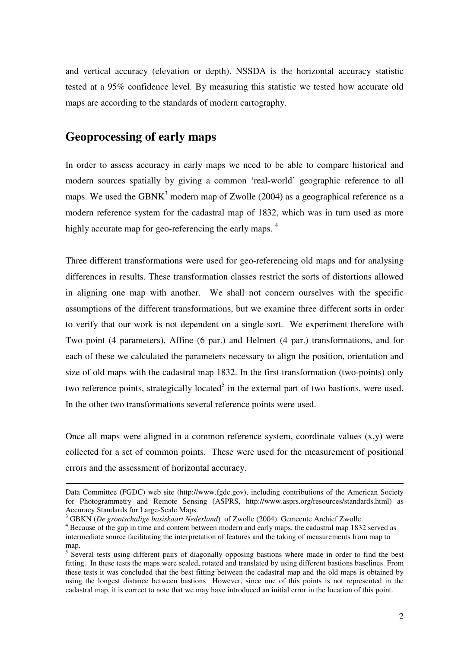and vertical accuracy (elevation or depth). NSSDA is the horizontal accuracy statistic tested at a 95% confidence level. By measuring this statistic we tested how accurate old maps are according to the standards of modern cartography.

#### **Geoprocessing of early maps**

In order to assess accuracy in early maps we need to be able to compare historical and modern sources spatially by giving a common 'real-world' geographic reference to all maps. We used the GBN $K^3$  modern map of Zwolle (2004) as a geographical reference as a modern reference system for the cadastral map of 1832, which was in turn used as more highly accurate map for geo-referencing the early maps.<sup>4</sup>

Three different transformations were used for geo-referencing old maps and for analysing differences in results. These transformation classes restrict the sorts of distortions allowed in aligning one map with another. We shall not concern ourselves with the specific assumptions of the different transformations, but we examine three different sorts in order to verify that our work is not dependent on a single sort. We experiment therefore with Two point (4 parameters), Affine (6 par.) and Helmert (4 par.) transformations, and for each of these we calculated the parameters necessary to align the position, orientation and size of old maps with the cadastral map 1832. In the first transformation (two-points) only two reference points, strategically located<sup>5</sup> in the external part of two bastions, were used. In the other two transformations several reference points were used.

Once all maps were aligned in a common reference system, coordinate values  $(x,y)$  were collected for a set of common points. These were used for the measurement of positional errors and the assessment of horizontal accuracy.

Data Committee (FGDC) web site (http://www.fgdc.gov), including contributions of the American Society for Photogrammetry and Remote Sensing (ASPRS, http://www.asprs.org/resources/standards.html) as Accuracy Standards for Large-Scale Maps.

<sup>3</sup> GBKN (*De grootschalige basiskaart Nederland*) of Zwolle (2004). Gemeente Archief Zwolle.

<sup>&</sup>lt;sup>4</sup> Because of the gap in time and content between modern and early maps, the cadastral map 1832 served as intermediate source facilitating the interpretation of features and the taking of measurements from map to map.

<sup>&</sup>lt;sup>5</sup> Several tests using different pairs of diagonally opposing bastions where made in order to find the best fitting. In these tests the maps were scaled, rotated and translated by using different bastions baselines. From these tests it was concluded that the best fitting between the cadastral map and the old maps is obtained by using the longest distance between bastions However, since one of this points is not represented in the cadastral map, it is correct to note that we may have introduced an initial error in the location of this point.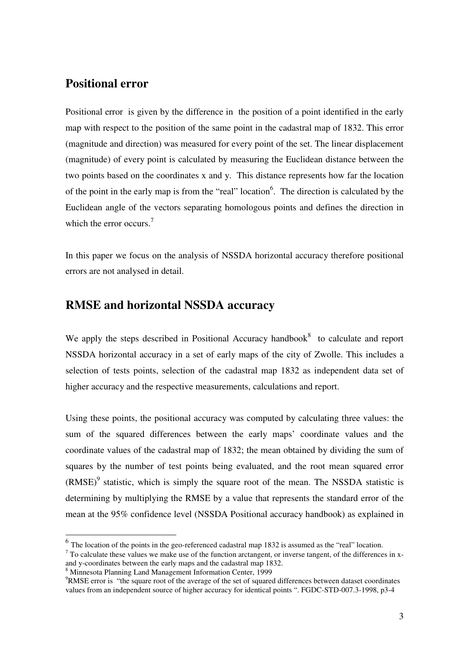#### **Positional error**

Positional error is given by the difference in the position of a point identified in the early map with respect to the position of the same point in the cadastral map of 1832. This error (magnitude and direction) was measured for every point of the set. The linear displacement (magnitude) of every point is calculated by measuring the Euclidean distance between the two points based on the coordinates x and y. This distance represents how far the location of the point in the early map is from the "real" location<sup>6</sup>. The direction is calculated by the Euclidean angle of the vectors separating homologous points and defines the direction in which the error occurs.<sup>7</sup>

In this paper we focus on the analysis of NSSDA horizontal accuracy therefore positional errors are not analysed in detail.

#### **RMSE and horizontal NSSDA accuracy**

We apply the steps described in Positional Accuracy handbook<sup>8</sup> to calculate and report NSSDA horizontal accuracy in a set of early maps of the city of Zwolle. This includes a selection of tests points, selection of the cadastral map 1832 as independent data set of higher accuracy and the respective measurements, calculations and report.

Using these points, the positional accuracy was computed by calculating three values: the sum of the squared differences between the early maps' coordinate values and the coordinate values of the cadastral map of 1832; the mean obtained by dividing the sum of squares by the number of test points being evaluated, and the root mean squared error  $(RMSE)^9$  statistic, which is simply the square root of the mean. The NSSDA statistic is determining by multiplying the RMSE by a value that represents the standard error of the mean at the 95% confidence level (NSSDA Positional accuracy handbook) as explained in

 $<sup>6</sup>$  The location of the points in the geo-referenced cadastral map 1832 is assumed as the "real" location.</sup>

 $<sup>7</sup>$  To calculate these values we make use of the function arctangent, or inverse tangent, of the differences in x-</sup> and y-coordinates between the early maps and the cadastral map 1832.

<sup>8</sup> Minnesota Planning Land Management Information Center, 1999

<sup>9</sup>RMSE error is "the square root of the average of the set of squared differences between dataset coordinates values from an independent source of higher accuracy for identical points ". FGDC-STD-007.3-1998, p3-4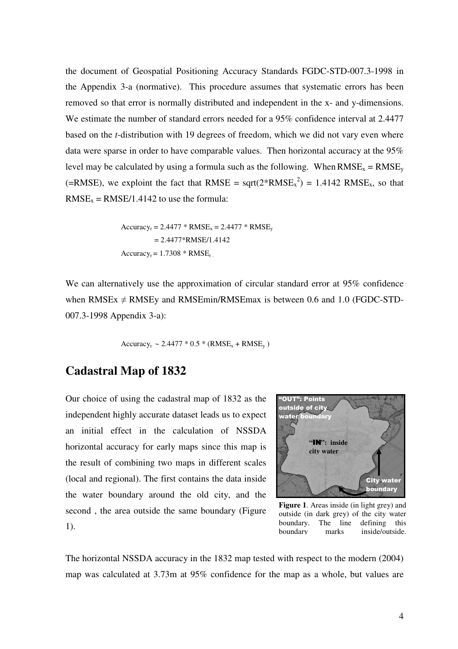the document of Geospatial Positioning Accuracy Standards FGDC-STD-007.3-1998 in the Appendix 3-a (normative). This procedure assumes that systematic errors has been removed so that error is normally distributed and independent in the x- and y-dimensions. We estimate the number of standard errors needed for a 95% confidence interval at 2.4477 based on the *t*-distribution with 19 degrees of freedom, which we did not vary even where data were sparse in order to have comparable values. Then horizontal accuracy at the 95% level may be calculated by using a formula such as the following. When  $RMSE_x = RMSE_y$ (=RMSE), we exploint the fact that RMSE =  $sqrt(2*RMSE_x^2) = 1.4142$  RMSE<sub>x</sub>, so that  $RMSE_x = RMSE/1.4142$  to use the formula:

> $Accuracy_r = 2.4477 * RMSE_x = 2.4477 * RMSE_v$  $= 2.4477*RMSE/1.4142$  $Accuracy_r = 1.7308 * RMSE_r$ .

We can alternatively use the approximation of circular standard error at 95% confidence when RMSEx  $\neq$  RMSEy and RMSEmin/RMSEmax is between 0.6 and 1.0 (FGDC-STD-007.3-1998 Appendix 3-a):

 $Accuracy_r \sim 2.4477 * 0.5 * (RMSE_x + RMSE_v)$ 

#### **Cadastral Map of 1832**

Our choice of using the cadastral map of 1832 as the independent highly accurate dataset leads us to expect an initial effect in the calculation of NSSDA horizontal accuracy for early maps since this map is the result of combining two maps in different scales (local and regional). The first contains the data inside the water boundary around the old city, and the second , the area outside the same boundary (Figure 1).



**Figure 1**. Areas inside (in light grey) and outside (in dark grey) of the city water boundary. The line defining this boundary marks inside/outside.

The horizontal NSSDA accuracy in the 1832 map tested with respect to the modern (2004) map was calculated at 3.73m at 95% confidence for the map as a whole, but values are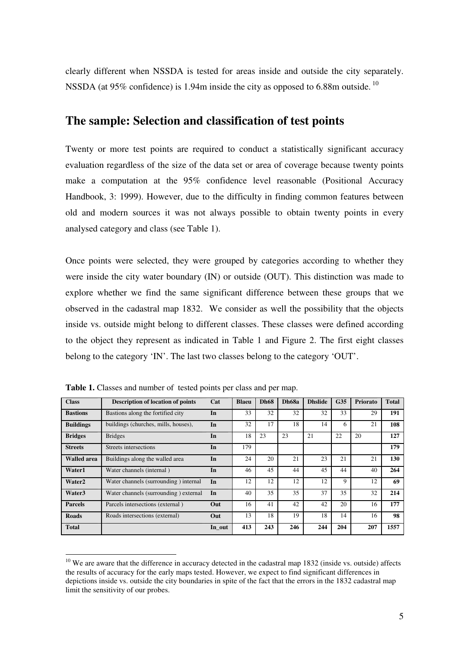clearly different when NSSDA is tested for areas inside and outside the city separately. NSSDA (at 95% confidence) is 1.94m inside the city as opposed to 6.88m outside.  $^{10}$ 

### **The sample: Selection and classification of test points**

Twenty or more test points are required to conduct a statistically significant accuracy evaluation regardless of the size of the data set or area of coverage because twenty points make a computation at the 95% confidence level reasonable (Positional Accuracy Handbook, 3: 1999). However, due to the difficulty in finding common features between old and modern sources it was not always possible to obtain twenty points in every analysed category and class (see Table 1).

Once points were selected, they were grouped by categories according to whether they were inside the city water boundary (IN) or outside (OUT). This distinction was made to explore whether we find the same significant difference between these groups that we observed in the cadastral map 1832. We consider as well the possibility that the objects inside vs. outside might belong to different classes. These classes were defined according to the object they represent as indicated in Table 1 and Figure 2. The first eight classes belong to the category 'IN'. The last two classes belong to the category 'OUT'.

| <b>Class</b>       | <b>Description of location of points</b> | Cat    | <b>Blaeu</b> | <b>Dh68</b> | Dh68a | <b>Dhslide</b> | G <sub>35</sub> | <b>Priorato</b> | <b>Total</b> |
|--------------------|------------------------------------------|--------|--------------|-------------|-------|----------------|-----------------|-----------------|--------------|
| <b>Bastions</b>    | Bastions along the fortified city        | In     | 33           | 32          | 32    | 32             | 33              | 29              | 191          |
| <b>Buildings</b>   | buildings (churches, mills, houses),     | In     | 32           | 17          | 18    | 14             | 6               | 21              | 108          |
| <b>Bridges</b>     | <b>Bridges</b>                           | In     | 18           | 23          | 23    | 21             | 22              | 20              | 127          |
| <b>Streets</b>     | <b>Streets</b> intersections             | In     | 179          |             |       |                |                 |                 | 179          |
| <b>Walled area</b> | Buildings along the walled area          | In     | 24           | 20          | 21    | 23             | 21              | 21              | 130          |
| Water1             | Water channels (internal)                | In     | 46           | 45          | 44    | 45             | 44              | 40              | 264          |
| Water <sub>2</sub> | Water channels (surrounding) internal    | In     | 12           | 12          | 12    | 12             | 9               | 12              | 69           |
| Water3             | Water channels (surrounding) external    | In     | 40           | 35          | 35    | 37             | 35              | 32              | 214          |
| <b>Parcels</b>     | Parcels intersections (external)         | Out    | 16           | 41          | 42    | 42             | 20              | 16              | 177          |
| <b>Roads</b>       | Roads intersections (external)           | Out    | 13           | 18          | 19    | 18             | 14              | 16              | 98           |
| <b>Total</b>       |                                          | In_out | 413          | 243         | 246   | 244            | 204             | 207             | 1557         |

**Table 1.** Classes and number of tested points per class and per map.

 $10$  We are aware that the difference in accuracy detected in the cadastral map 1832 (inside vs. outside) affects the results of accuracy for the early maps tested. However, we expect to find significant differences in depictions inside vs. outside the city boundaries in spite of the fact that the errors in the 1832 cadastral map limit the sensitivity of our probes.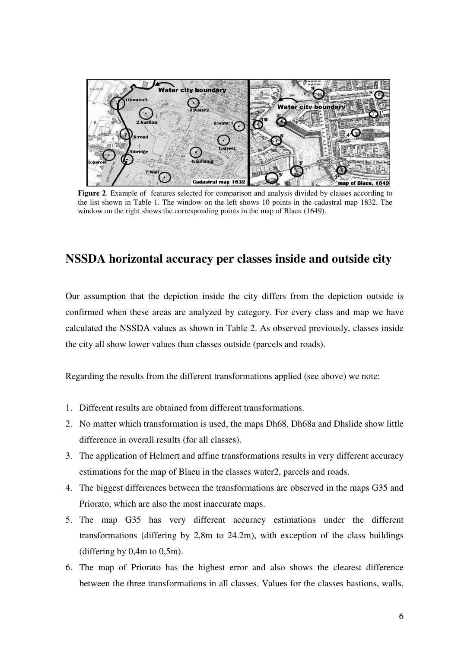

**Figure 2**. Example of features selected for comparison and analysis divided by classes according to the list shown in Table 1. The window on the left shows 10 points in the cadastral map 1832. The window on the right shows the corresponding points in the map of Blaeu (1649).

## **NSSDA horizontal accuracy per classes inside and outside city**

Our assumption that the depiction inside the city differs from the depiction outside is confirmed when these areas are analyzed by category. For every class and map we have calculated the NSSDA values as shown in Table 2. As observed previously, classes inside the city all show lower values than classes outside (parcels and roads).

Regarding the results from the different transformations applied (see above) we note:

- 1. Different results are obtained from different transformations.
- 2. No matter which transformation is used, the maps Dh68, Dh68a and Dhslide show little difference in overall results (for all classes).
- 3. The application of Helmert and affine transformations results in very different accuracy estimations for the map of Blaeu in the classes water2, parcels and roads.
- 4. The biggest differences between the transformations are observed in the maps G35 and Priorato, which are also the most inaccurate maps.
- 5. The map G35 has very different accuracy estimations under the different transformations (differing by 2,8m to 24.2m), with exception of the class buildings (differing by  $0,4m$  to  $0,5m$ ).
- 6. The map of Priorato has the highest error and also shows the clearest difference between the three transformations in all classes. Values for the classes bastions, walls,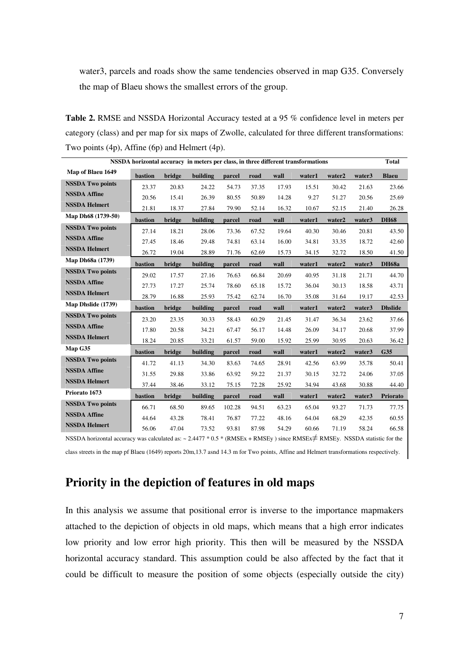water3, parcels and roads show the same tendencies observed in map G35. Conversely the map of Blaeu shows the smallest errors of the group.

**Table 2.** RMSE and NSSDA Horizontal Accuracy tested at a 95 % confidence level in meters per category (class) and per map for six maps of Zwolle, calculated for three different transformations: Two points (4p), Affine (6p) and Helmert (4p).

| NSSDA horizontal accuracy in meters per class, in three different transformations                                                    |         |        |          |        |       |       |        |        |        | <b>Total</b>   |
|--------------------------------------------------------------------------------------------------------------------------------------|---------|--------|----------|--------|-------|-------|--------|--------|--------|----------------|
| Map of Blaeu 1649                                                                                                                    | bastion | bridge | building | parcel | road  | wall  | water1 | water2 | water3 | <b>Blaeu</b>   |
| <b>NSSDA Two points</b>                                                                                                              | 23.37   | 20.83  | 24.22    | 54.73  | 37.35 | 17.93 | 15.51  | 30.42  | 21.63  | 23.66          |
| <b>NSSDA Affine</b>                                                                                                                  | 20.56   | 15.41  | 26.39    | 80.55  | 50.89 | 14.28 | 9.27   | 51.27  | 20.56  | 25.69          |
| <b>NSSDA Helmert</b>                                                                                                                 | 21.81   | 18.37  | 27.84    | 79.90  | 52.14 | 16.32 | 10.67  | 52.15  | 21.40  | 26.28          |
| Map Dh68 (1739-50)                                                                                                                   | bastion | bridge | building | parcel | road  | wall  | water1 | water2 | water3 | <b>DH68</b>    |
| <b>NSSDA Two points</b>                                                                                                              | 27.14   | 18.21  | 28.06    | 73.36  | 67.52 | 19.64 | 40.30  | 30.46  | 20.81  | 43.50          |
| <b>NSSDA Affine</b>                                                                                                                  | 27.45   | 18.46  | 29.48    | 74.81  | 63.14 | 16.00 | 34.81  | 33.35  | 18.72  | 42.60          |
| <b>NSSDA Helmert</b>                                                                                                                 | 26.72   | 19.04  | 28.89    | 71.76  | 62.69 | 15.73 | 34.15  | 32.72  | 18.50  | 41.50          |
| Map Dh68a (1739)                                                                                                                     | bastion | bridge | building | parcel | road  | wall  | water1 | water2 | water3 | <b>DH68a</b>   |
| <b>NSSDA Two points</b>                                                                                                              | 29.02   | 17.57  | 27.16    | 76.63  | 66.84 | 20.69 | 40.95  | 31.18  | 21.71  | 44.70          |
| <b>NSSDA Affine</b>                                                                                                                  | 27.73   | 17.27  | 25.74    | 78.60  | 65.18 | 15.72 | 36.04  | 30.13  | 18.58  | 43.71          |
| <b>NSSDA Helmert</b>                                                                                                                 | 28.79   | 16.88  | 25.93    | 75.42  | 62.74 | 16.70 | 35.08  | 31.64  | 19.17  | 42.53          |
| Map Dhslide (1739)                                                                                                                   | bastion | bridge | building | parcel | road  | wall  | water1 | water2 | water3 | <b>Dhslide</b> |
| <b>NSSDA Two points</b>                                                                                                              | 23.20   | 23.35  | 30.33    | 58.43  | 60.29 | 21.45 | 31.47  | 36.34  | 23.62  | 37.66          |
| <b>NSSDA Affine</b>                                                                                                                  | 17.80   | 20.58  | 34.21    | 67.47  | 56.17 | 14.48 | 26.09  | 34.17  | 20.68  | 37.99          |
| <b>NSSDA Helmert</b>                                                                                                                 | 18.24   | 20.85  | 33.21    | 61.57  | 59.00 | 15.92 | 25.99  | 30.95  | 20.63  | 36.42          |
| Map G35                                                                                                                              | bastion | bridge | building | parcel | road  | wall  | water1 | water2 | water3 | G35            |
| <b>NSSDA Two points</b>                                                                                                              | 41.72   | 41.13  | 34.30    | 83.63  | 74.65 | 28.91 | 42.56  | 63.99  | 35.78  | 50.41          |
| <b>NSSDA Affine</b>                                                                                                                  | 31.55   | 29.88  | 33.86    | 63.92  | 59.22 | 21.37 | 30.15  | 32.72  | 24.06  | 37.05          |
| <b>NSSDA Helmert</b>                                                                                                                 | 37.44   | 38.46  | 33.12    | 75.15  | 72.28 | 25.92 | 34.94  | 43.68  | 30.88  | 44.40          |
| Priorato 1673                                                                                                                        | bastion | bridge | building | parcel | road  | wall  | water1 | water2 | water3 | Priorato       |
| <b>NSSDA Two points</b>                                                                                                              | 66.71   | 68.50  | 89.65    | 102.28 | 94.51 | 63.23 | 65.04  | 93.27  | 71.73  | 77.75          |
| <b>NSSDA Affine</b>                                                                                                                  | 44.64   | 43.28  | 78.41    | 76.87  | 77.22 | 48.16 | 64.04  | 68.29  | 42.35  | 60.55          |
| <b>NSSDA Helmert</b>                                                                                                                 | 56.06   | 47.04  | 73.52    | 93.81  | 87.98 | 54.29 | 60.66  | 71.19  | 58.24  | 66.58          |
| NSSDA horizontal accuracy was calculated as: $\sim 2.4477 * 0.5 * (RMSEx + RMSEy)$ since RMSEx $\neq$ RMSEy. NSSDA statistic for the |         |        |          |        |       |       |        |        |        |                |

class streets in the map pf Blaeu (1649) reports 20m,13.7 asnd 14.3 m for Two points, Affine and Helmert transformations respectively.

# **Priority in the depiction of features in old maps**

In this analysis we assume that positional error is inverse to the importance mapmakers attached to the depiction of objects in old maps, which means that a high error indicates low priority and low error high priority. This then will be measured by the NSSDA horizontal accuracy standard. This assumption could be also affected by the fact that it could be difficult to measure the position of some objects (especially outside the city)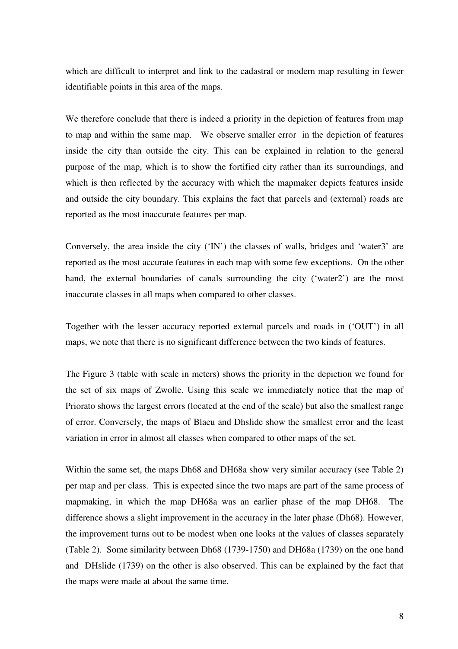which are difficult to interpret and link to the cadastral or modern map resulting in fewer identifiable points in this area of the maps.

We therefore conclude that there is indeed a priority in the depiction of features from map to map and within the same map. We observe smaller error in the depiction of features inside the city than outside the city. This can be explained in relation to the general purpose of the map, which is to show the fortified city rather than its surroundings, and which is then reflected by the accuracy with which the mapmaker depicts features inside and outside the city boundary. This explains the fact that parcels and (external) roads are reported as the most inaccurate features per map.

Conversely, the area inside the city ('IN') the classes of walls, bridges and 'water3' are reported as the most accurate features in each map with some few exceptions. On the other hand, the external boundaries of canals surrounding the city ('water2') are the most inaccurate classes in all maps when compared to other classes.

Together with the lesser accuracy reported external parcels and roads in ('OUT') in all maps, we note that there is no significant difference between the two kinds of features.

The Figure 3 (table with scale in meters) shows the priority in the depiction we found for the set of six maps of Zwolle. Using this scale we immediately notice that the map of Priorato shows the largest errors (located at the end of the scale) but also the smallest range of error. Conversely, the maps of Blaeu and Dhslide show the smallest error and the least variation in error in almost all classes when compared to other maps of the set.

Within the same set, the maps Dh68 and DH68a show very similar accuracy (see Table 2) per map and per class. This is expected since the two maps are part of the same process of mapmaking, in which the map DH68a was an earlier phase of the map DH68. The difference shows a slight improvement in the accuracy in the later phase (Dh68). However, the improvement turns out to be modest when one looks at the values of classes separately (Table 2). Some similarity between Dh68 (1739-1750) and DH68a (1739) on the one hand and DHslide (1739) on the other is also observed. This can be explained by the fact that the maps were made at about the same time.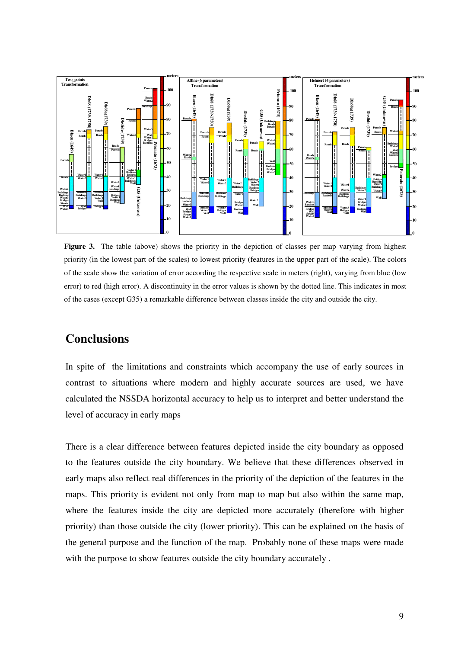

**Figure 3.** The table (above) shows the priority in the depiction of classes per map varying from highest priority (in the lowest part of the scales) to lowest priority (features in the upper part of the scale). The colors of the scale show the variation of error according the respective scale in meters (right), varying from blue (low error) to red (high error). A discontinuity in the error values is shown by the dotted line. This indicates in most of the cases (except G35) a remarkable difference between classes inside the city and outside the city.

# **Conclusions**

In spite of the limitations and constraints which accompany the use of early sources in contrast to situations where modern and highly accurate sources are used, we have calculated the NSSDA horizontal accuracy to help us to interpret and better understand the level of accuracy in early maps

There is a clear difference between features depicted inside the city boundary as opposed to the features outside the city boundary. We believe that these differences observed in early maps also reflect real differences in the priority of the depiction of the features in the maps. This priority is evident not only from map to map but also within the same map, where the features inside the city are depicted more accurately (therefore with higher priority) than those outside the city (lower priority). This can be explained on the basis of the general purpose and the function of the map. Probably none of these maps were made with the purpose to show features outside the city boundary accurately .